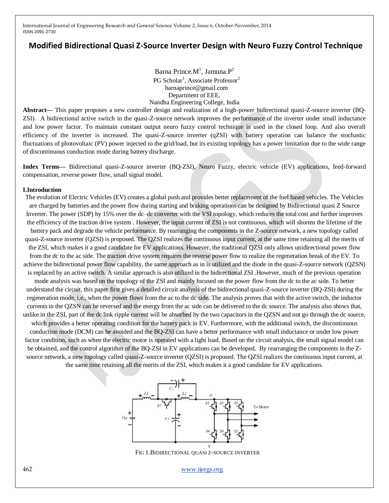# **Modified Bidirectional Quasi Z-Source Inverter Design with Neuro Fuzzy Control Technique**

Barna Prince. $M<sup>1</sup>$ , Jamuna. $P<sup>2</sup>$ PG Scholar<sup>1</sup>, Associate Professor<sup>2</sup> barnaprince@gmail.com Department of EEE, Nandha Engineering College, India

**Abstract—** This paper proposes a new controller design and realization of a high-power bidirectional quasi-Z-source inverter (BQ-ZSI). A bidirectional active switch in the quasi-Z-source network improves the performance of the inverter under small inductance and low power factor. To maintain constant output neuro fuzzy control technique is used in the closed loop. And also overall efficiency of the inverter is increased. The quasi-Z-source inverter (qZSI) with battery operation can balance the stochastic fluctuations of photovoltaic (PV) power injected to the grid/load, but its existing topology has a power limitation due to the wide range of discontinuous conduction mode during battery discharge.

**Index Terms***—* Bidirectional quasi-Z-source inverter (BQ-ZSI), Neuro Fuzzy, electric vehicle (EV) applications, feed-forward compensation, reverse power flow, small signal model.

#### **I.Introduction**

The evolution of Electric Vehicles (EV) creates a global push and provides better replacement of the fuel based vehicles. The Vehicles are charged by batteries and the power flow during starting and braking operations can be designed by Bidirectional quasi Z Source Inverter. The power (SDP) by 15% over the dc–dc converter with the VSI topology, which reduces the total cost and further improves the efficiency of the traction drive system . However, the input current of ZSI is not continuous, which will shorten the lifetime of the battery pack and degrade the vehicle performance. By rearranging the components in the Z-source network, a new topology called quasi-Z-source inverter (QZSI) is proposed. The QZSI realizes the continuous input current, at the same time retaining all the merits of the ZSI, which makes it a good candidate for EV applications. However, the traditional QZSI only allows unidirectional power flow from the dc to the ac side. The traction drive system requires the reverse power flow to realize the regeneration break of the EV. To achieve the bidirectional power flow capability, the same approach as in is utilized and the diode in the quasi-Z-source network (QZSN) is replaced by an active switch. A similar approach is also utilized in the bidirectional ZSI .However, much of the previous operation

mode analysis was based on the topology of the ZSI and mainly focused on the power flow from the dc to the ac side. To better understand the circuit, this paper first gives a detailed circuit analysis of the bidirectional quasi-Z-source inverter (BQ-ZSI) during the regeneration mode, i.e., when the power flows from the ac to the dc side. The analysis proves that with the active switch, the inductor currents in the QZSN can be reversed and the energy from the ac side can be delivered to the dc source. The analysis also shows that, unlike in the ZSI, part of the dc link ripple current will be absorbed by the two capacitors in the QZSN and not go through the dc source,

which provides a better operating condition for the battery pack in EV. Furthermore, with the additional switch, the discontinuous conduction mode (DCM) can be avoided and the BQ-ZSI can have a better performance with small inductance or under low power factor condition, such as when the electric motor is operated with a light load. Based on the circuit analysis, the small signal model can be obtained, and the control algorithm of the BQ-ZSI in EV applications can be developed. By rearranging the components in the Zsource network, a new topology called quasi-Z-source inverter (QZSI) is proposed. The QZSI realizes the continuous input current, at the same time retaining all the merits of the ZSI, which makes it a good candidate for EV applications.



FIG 1.BIDIRECTIONAL QUASI Z-SOURCE INVERTER

462 [www.ijergs.org](http://www.ijergs.org/)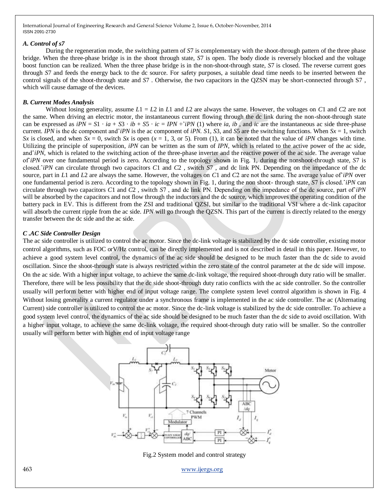#### *A. Control of s7*

During the regeneration mode, the switching pattern of *S*7 is complementary with the shoot-through pattern of the three phase bridge. When the three-phase bridge is in the shoot through state, *S*7 is open. The body diode is reversely blocked and the voltage boost function can be realized. When the three phase bridge is in the non-shoot-through state, *S*7 is closed. The reverse current goes through *S*7 and feeds the energy back to the dc source. For safety purposes, a suitable dead time needs to be inserted between the control signals of the shoot-through state and *S*7 . Otherwise, the two capacitors in the QZSN may be short-connected through S7 , which will cause damage of the devices.

#### *B. Current Modes Analysis*

Without losing generality, assume  $L1 = L2$  in  $L1$  and  $L2$  are always the same. However, the voltages on C1 and C2 are not the same. When driving an electric motor, the instantaneous current flowing through the dc link during the non-shoot-through state can be expressed as  $iPN = S1 \cdot ia + S3 \cdot ib + S5 \cdot ic = IPN + iPN$  (1) where *ia, ib*, and *ic* are the instantaneous ac side three-phase current. *IPN* is the dc component and  $\hat{i}PN$  is the ac component of *iPN*. S1, S3, and S5 are the switching functions. When  $Sx = 1$ , switch *Sx* is closed, and when  $Sx = 0$ , switch *Sx* is open ( $x = 1, 3$ , or 5). From (1), it can be noted that the value of *iPN* changes with time. Utilizing the principle of superposition, *iPN* can be written as the sum of *IPN,* which is related to the active power of the ac side, and<sup> $\hat{i}PN$ </sup>, which is related to the switching action of the three-phase inverter and the reactive power of the ac side. The average value ofˆ*iPN* over one fundamental period is zero. According to the topology shown in Fig. 1, during the nonshoot-through state, *S*7 is closed.ˆ*iPN* can circulate through two capacitors *C*1 and *C*2 , switch *S*7 , and dc link PN. Depending on the impedance of the dc source, part in *L*1 and *L2* are always the same. However, the voltages on *C*1 and *C2* are not the same. The average value of *iPN* over one fundamental period is zero. According to the topology shown in Fig. 1, during the non shoot- through state, *S*7 is closed.ˆ*iPN* can circulate through two capacitors *C*1 and *C*2 , switch *S*7 , and dc link PN. Depending on the impedance of the dc source, part ofˆ*iPN*  will be absorbed by the capacitors and not flow through the inductors and the dc source, which improves the operating condition of the battery pack in EV. This is different from the ZSI and traditional QZSI, but similar to the traditional VSI where a dc-link capacitor will absorb the current ripple from the ac side. *IPN* will go through the QZSN. This part of the current is directly related to the energy transfer between the dc side and the ac side.

### *C .AC Side Controller Design*

The ac side controller is utilized to control the ac motor. Since the dc-link voltage is stabilized by the dc side controller, existing motor control algorithms, such as FOC orV/Hz control, can be directly implemented and is not described in detail in this paper. However, to achieve a good system level control, the dynamics of the ac side should be designed to be much faster than the dc side to avoid oscillation. Since the shoot-through state is always restricted within the zero state of the control parameter at the dc side will impose. On the ac side. With a higher input voltage, to achieve the same dc-link voltage, the required shoot-through duty ratio will be smaller. Therefore, there will be less possibility that the dc side shoot-through duty ratio conflicts with the ac side controller. So the controller usually will perform better with higher end of input voltage range. The complete system level control algorithm is shown in Fig. 4 Without losing generality a current regulator under a synchronous frame is implemented in the ac side controller. The ac (Alternating Current) side controller is utilized to control the ac motor. Since the dc-link voltage is stabilized by the dc side controller. To achieve a good system level control, the dynamics of the ac side should be designed to be much faster than the dc side to avoid oscillation. With a higher input voltage, to achieve the same dc-link voltage, the required shoot-through duty ratio will be smaller. So the controller usually will perform better with higher end of input voltage range



Fig.2 System model and control strategy

463 [www.ijergs.org](http://www.ijergs.org/)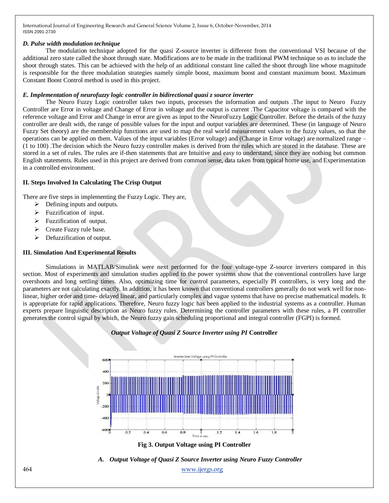### *D. Pulse width modulation technique*

The modulation technique adopted for the quasi Z-source inverter is different from the conventional VSI because of the additional zero state called the shoot through state. Modifications are to be made in the traditional PWM technique so as to include the shoot through states. This can be achieved with the help of an additional constant line called the shoot through line whose magnitude is responsible for the three modulation strategies namely simple boost, maximum boost and constant maximum boost. Maximum Constant Boost Control method is used in this project.

### *E. Implementation of neurofuzzy logic controller in bidirectional quasi z source inverter*

The Neuro Fuzzy Logic controller takes two inputs, processes the information and outputs .The input to Neuro Fuzzy Controller are Error in voltage and Change of Error in voltage and the output is current .The Capacitor voltage is compared with the reference voltage and Error and Change in error are given as input to the NeuroFuzzy Logic Controller. Before the details of the fuzzy controller are dealt with, the range of possible values for the input and output variables are determined. These (in language of Neuro Fuzzy Set theory) are the membership functions are used to map the real world measurement values to the fuzzy values, so that the operations can be applied on them. Values of the input variables (Error voltage) and (Change in Error voltage) are normalized range – (1 to 100) .The decision which the Neuro fuzzy controller makes is derived from the rules which are stored in the database. These are stored in a set of rules. The rules are if-then statements that are Intuitive and easy to understand, since they are nothing but common English statements. Rules used in this project are derived from common sense, data taken from typical home use, and Experimentation in a controlled environment.

### **II. Steps Involved In Calculating The Crisp Output**

There are five steps in implementing the Fuzzy Logic. They are,

- $\triangleright$  Defining inputs and outputs.
- $\triangleright$  Fuzzification of input.
- $\triangleright$  Fuzzification of output.
- $\triangleright$  Create Fuzzy rule base.
- $\triangleright$  Defuzzification of output.

### **III. Simulation And Experimental Results**

Simulations in MATLAB/Simulink were next performed for the four voltage-type Z-source inverters compared in this section. Most of experiments and simulation studies applied to the power systems show that the conventional controllers have large overshoots and long settling times. Also, optimizing time for control parameters, especially PI controllers, is very long and the parameters are not calculating exactly. In addition, it has been known that conventional controllers generally do not work well for nonlinear, higher order and time- delayed linear, and particularly complex and vague systems that have no precise mathematical models. It is appropriate for rapid applications. Therefore, Neuro fuzzy logic has been applied to the industrial systems as a controller. Human experts prepare linguistic description as Neuro fuzzy rules. Determining the controller parameters with these rules, a PI controller generates the control signal by which, the Neuro fuzzy gain scheduling proportional and integral controller (FGPI) is formed.

# KN 400 400  $-6000$  $\overline{0.2}$  $0.4$  $0.6$  $0.8$  $\overline{1}$ 16 18



464 [www.ijergs.org](http://www.ijergs.org/) *A. Output Voltage of Quasi Z Source Inverter using Neuro Fuzzy Controller*

# *Output Voltage of Quasi Z Source Inverter using PI* **Controller**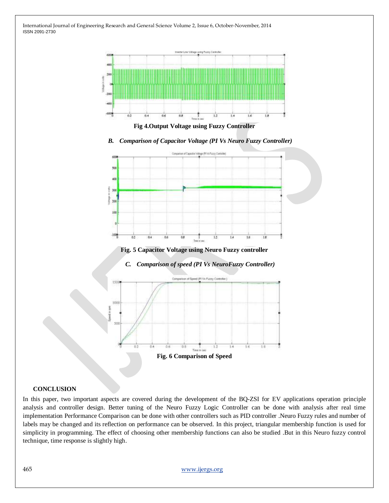

**Fig 4.Output Voltage using Fuzzy Controller**

*B. Comparison of Capacitor Voltage (PI Vs Neuro Fuzzy Controller)*



**Fig. 5 Capacitor Voltage using Neuro Fuzzy controller**

*C. Comparison of speed (PI Vs NeuroFuzzy Controller)*



#### **CONCLUSION**

In this paper, two important aspects are covered during the development of the BQ-ZSI for EV applications operation principle analysis and controller design. Better tuning of the Neuro Fuzzy Logic Controller can be done with analysis after real time implementation Performance Comparison can be done with other controllers such as PID controller .Neuro Fuzzy rules and number of labels may be changed and its reflection on performance can be observed. In this project, triangular membership function is used for simplicity in programming. The effect of choosing other membership functions can also be studied .But in this Neuro fuzzy control technique, time response is slightly high.